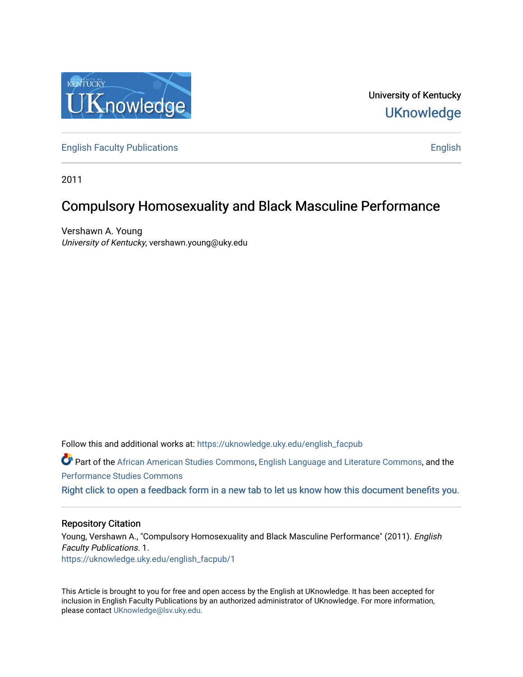

University of Kentucky **UKnowledge** 

[English Faculty Publications](https://uknowledge.uky.edu/english_facpub) **English** English

2011

# Compulsory Homosexuality and Black Masculine Performance

Vershawn A. Young University of Kentucky, vershawn.young@uky.edu

Follow this and additional works at: [https://uknowledge.uky.edu/english\\_facpub](https://uknowledge.uky.edu/english_facpub?utm_source=uknowledge.uky.edu%2Fenglish_facpub%2F1&utm_medium=PDF&utm_campaign=PDFCoverPages)  Part of the [African American Studies Commons,](http://network.bepress.com/hgg/discipline/567?utm_source=uknowledge.uky.edu%2Fenglish_facpub%2F1&utm_medium=PDF&utm_campaign=PDFCoverPages) [English Language and Literature Commons](http://network.bepress.com/hgg/discipline/455?utm_source=uknowledge.uky.edu%2Fenglish_facpub%2F1&utm_medium=PDF&utm_campaign=PDFCoverPages), and the [Performance Studies Commons](http://network.bepress.com/hgg/discipline/556?utm_source=uknowledge.uky.edu%2Fenglish_facpub%2F1&utm_medium=PDF&utm_campaign=PDFCoverPages) 

[Right click to open a feedback form in a new tab to let us know how this document benefits you.](https://uky.az1.qualtrics.com/jfe/form/SV_9mq8fx2GnONRfz7)

## Repository Citation

Young, Vershawn A., "Compulsory Homosexuality and Black Masculine Performance" (2011). English Faculty Publications. 1. [https://uknowledge.uky.edu/english\\_facpub/1](https://uknowledge.uky.edu/english_facpub/1?utm_source=uknowledge.uky.edu%2Fenglish_facpub%2F1&utm_medium=PDF&utm_campaign=PDFCoverPages) 

This Article is brought to you for free and open access by the English at UKnowledge. It has been accepted for inclusion in English Faculty Publications by an authorized administrator of UKnowledge. For more information, please contact [UKnowledge@lsv.uky.edu.](mailto:UKnowledge@lsv.uky.edu)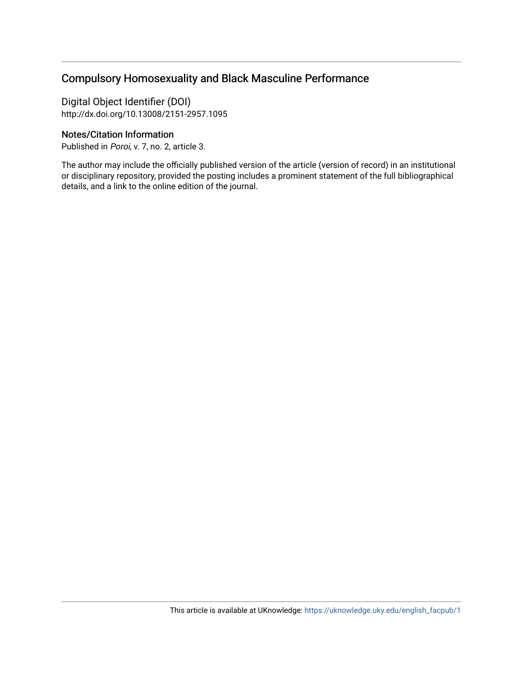# Compulsory Homosexuality and Black Masculine Performance

Digital Object Identifier (DOI) http://dx.doi.org/10.13008/2151-2957.1095

# Notes/Citation Information

Published in Poroi, v. 7, no. 2, article 3.

The author may include the officially published version of the article (version of record) in an institutional or disciplinary repository, provided the posting includes a prominent statement of the full bibliographical details, and a link to the online edition of the journal.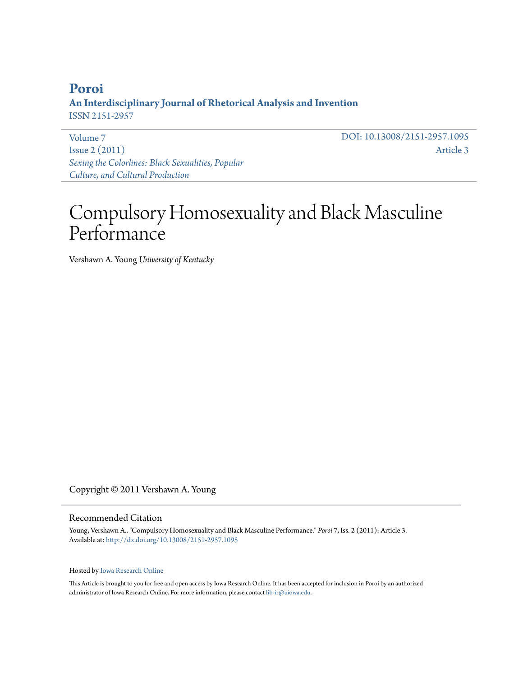# **[Poroi](http://ir.uiowa.edu/poroi) An Interdisciplinary Journal of Rhetorical Analysis and Invention** ISSN 2151-2957

[Volume 7](http://ir.uiowa.edu/poroi/vol7) [Issue 2 \(2011\)](http://ir.uiowa.edu/poroi/vol7/iss2) *[Sexing the Colorlines: Black Sexualities, Popular](http://ir.uiowa.edu/poroi/vol7/iss2) [Culture, and Cultural Production](http://ir.uiowa.edu/poroi/vol7/iss2)*

DOI: 10.13008/2151-2957.1095 [Article 3](http://ir.uiowa.edu/poroi/vol7/iss2/3)

# Compulsory Homosexuality and Black Masculine Performance

Vershawn A. Young *University of Kentucky*

Copyright © 2011 Vershawn A. Young

#### Recommended Citation

Young, Vershawn A.. "Compulsory Homosexuality and Black Masculine Performance." *Poroi* 7, Iss. 2 (2011): Article 3. Available at: <http://dx.doi.org/10.13008/2151-2957.1095>

#### Hosted by [Iowa Research Online](http://ir.uiowa.edu)

This Article is brought to you for free and open access by Iowa Research Online. It has been accepted for inclusion in Poroi by an authorized administrator of Iowa Research Online. For more information, please contact [lib-ir@uiowa.edu.](mailto:lib-ir@uiowa.edu)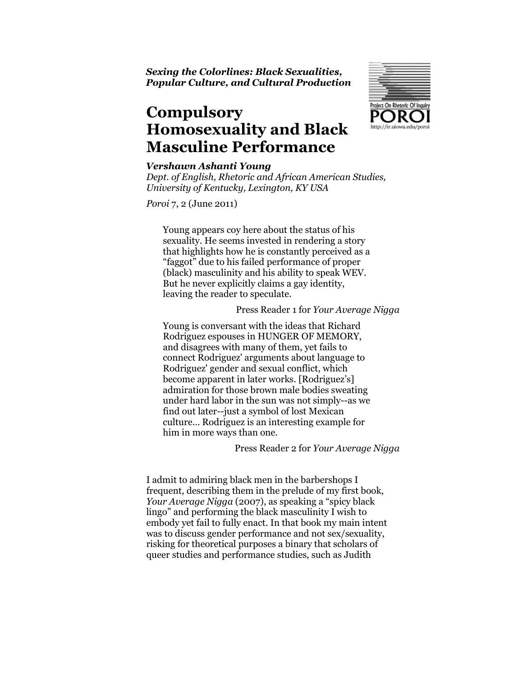Sexing the Colorlines: Black Sexualities, Popular Culture, and Cultural Production

# **Compulsory** Homosexuality and Black Masculine Performance



#### Vershawn Ashanti Young

Dept. of English, Rhetoric and African American Studies, University of Kentucky, Lexington, KY USA

Poroi 7, 2 (June 2011)

Young appears coy here about the status of his sexuality. He seems invested in rendering a story that highlights how he is constantly perceived as a "faggot" due to his failed performance of proper (black) masculinity and his ability to speak WEV. But he never explicitly claims a gay identity, leaving the reader to speculate.

#### Press Reader 1 for Your Average Nigga

Young is conversant with the ideas that Richard Rodriguez espouses in HUNGER OF MEMORY, and disagrees with many of them, yet fails to connect Rodriguez' arguments about language to Rodriguez' gender and sexual conflict, which become apparent in later works. [Rodriguez's] admiration for those brown male bodies sweating under hard labor in the sun was not simply--as we find out later--just a symbol of lost Mexican culture… Rodriguez is an interesting example for him in more ways than one.

### Press Reader 2 for Your Average Nigga

I admit to admiring black men in the barbershops I frequent, describing them in the prelude of my first book, Your Average Nigga (2007), as speaking a "spicy black lingo" and performing the black masculinity I wish to embody yet fail to fully enact. In that book my main intent was to discuss gender performance and not sex/sexuality, risking for theoretical purposes a binary that scholars of queer studies and performance studies, such as Judith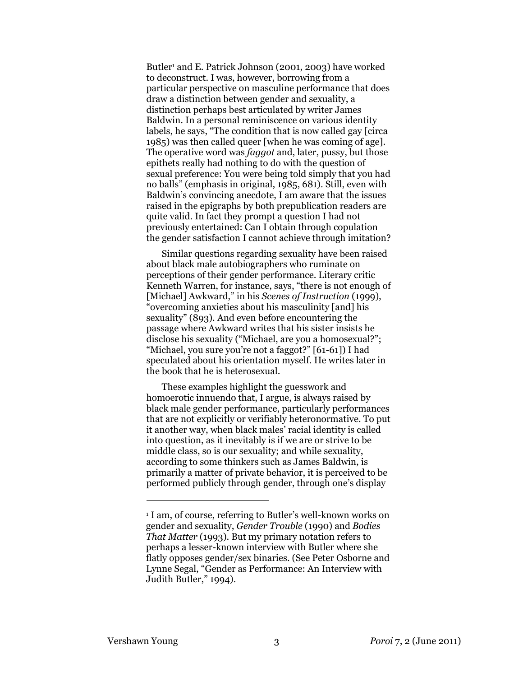Butler<sup>1</sup> and E. Patrick Johnson (2001, 2003) have worked to deconstruct. I was, however, borrowing from a particular perspective on masculine performance that does draw a distinction between gender and sexuality, a distinction perhaps best articulated by writer James Baldwin. In a personal reminiscence on various identity labels, he says, "The condition that is now called gay [circa 1985) was then called queer [when he was coming of age]. The operative word was *faggot* and, later, pussy, but those epithets really had nothing to do with the question of sexual preference: You were being told simply that you had no balls" (emphasis in original, 1985, 681). Still, even with Baldwin's convincing anecdote, I am aware that the issues raised in the epigraphs by both prepublication readers are quite valid. In fact they prompt a question I had not previously entertained: Can I obtain through copulation the gender satisfaction I cannot achieve through imitation?

Similar questions regarding sexuality have been raised about black male autobiographers who ruminate on perceptions of their gender performance. Literary critic Kenneth Warren, for instance, says, "there is not enough of [Michael] Awkward," in his Scenes of Instruction (1999), "overcoming anxieties about his masculinity [and] his sexuality" (893). And even before encountering the passage where Awkward writes that his sister insists he disclose his sexuality ("Michael, are you a homosexual?"; "Michael, you sure you're not a faggot?" [61-61]) I had speculated about his orientation myself. He writes later in the book that he is heterosexual.

These examples highlight the guesswork and homoerotic innuendo that, I argue, is always raised by black male gender performance, particularly performances that are not explicitly or verifiably heteronormative. To put it another way, when black males' racial identity is called into question, as it inevitably is if we are or strive to be middle class, so is our sexuality; and while sexuality, according to some thinkers such as James Baldwin, is primarily a matter of private behavior, it is perceived to be performed publicly through gender, through one's display

-

<sup>1</sup> I am, of course, referring to Butler's well-known works on gender and sexuality, Gender Trouble (1990) and Bodies That Matter (1993). But my primary notation refers to perhaps a lesser-known interview with Butler where she flatly opposes gender/sex binaries. (See Peter Osborne and Lynne Segal, "Gender as Performance: An Interview with Judith Butler," 1994).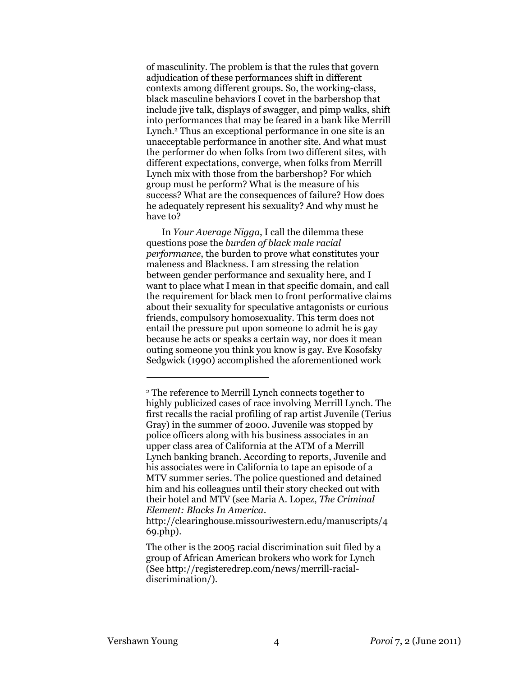of masculinity. The problem is that the rules that govern adjudication of these performances shift in different contexts among different groups. So, the working-class, black masculine behaviors I covet in the barbershop that include jive talk, displays of swagger, and pimp walks, shift into performances that may be feared in a bank like Merrill Lynch.<sup>2</sup> Thus an exceptional performance in one site is an unacceptable performance in another site. And what must the performer do when folks from two different sites, with different expectations, converge, when folks from Merrill Lynch mix with those from the barbershop? For which group must he perform? What is the measure of his success? What are the consequences of failure? How does he adequately represent his sexuality? And why must he have to?

In Your Average Nigga, I call the dilemma these questions pose the burden of black male racial performance, the burden to prove what constitutes your maleness and Blackness. I am stressing the relation between gender performance and sexuality here, and I want to place what I mean in that specific domain, and call the requirement for black men to front performative claims about their sexuality for speculative antagonists or curious friends, compulsory homosexuality. This term does not entail the pressure put upon someone to admit he is gay because he acts or speaks a certain way, nor does it mean outing someone you think you know is gay. Eve Kosofsky Sedgwick (1990) accomplished the aforementioned work

 $\overline{a}$ 

<sup>2</sup> The reference to Merrill Lynch connects together to highly publicized cases of race involving Merrill Lynch. The first recalls the racial profiling of rap artist Juvenile (Terius Gray) in the summer of 2000. Juvenile was stopped by police officers along with his business associates in an upper class area of California at the ATM of a Merrill Lynch banking branch. According to reports, Juvenile and his associates were in California to tape an episode of a MTV summer series. The police questioned and detained him and his colleagues until their story checked out with their hotel and MTV (see Maria A. Lopez, The Criminal Element: Blacks In America.

http://clearinghouse.missouriwestern.edu/manuscripts/4 69.php).

The other is the 2005 racial discrimination suit filed by a group of African American brokers who work for Lynch (See http://registeredrep.com/news/merrill-racialdiscrimination/).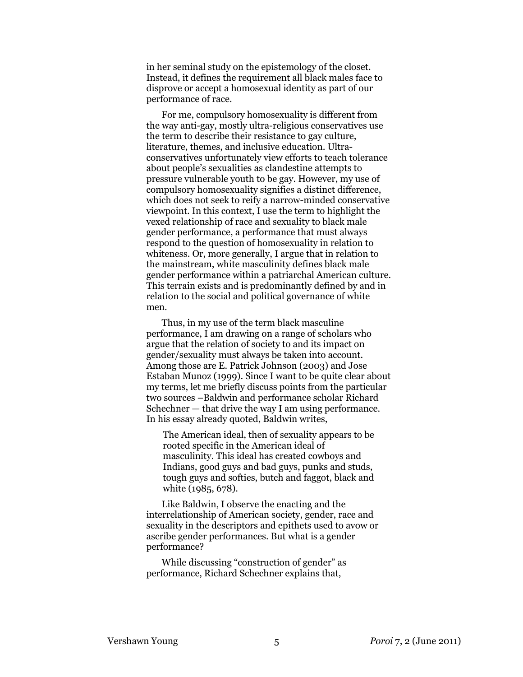in her seminal study on the epistemology of the closet. Instead, it defines the requirement all black males face to disprove or accept a homosexual identity as part of our performance of race.

For me, compulsory homosexuality is different from the way anti-gay, mostly ultra-religious conservatives use the term to describe their resistance to gay culture, literature, themes, and inclusive education. Ultraconservatives unfortunately view efforts to teach tolerance about people's sexualities as clandestine attempts to pressure vulnerable youth to be gay. However, my use of compulsory homosexuality signifies a distinct difference, which does not seek to reify a narrow-minded conservative viewpoint. In this context, I use the term to highlight the vexed relationship of race and sexuality to black male gender performance, a performance that must always respond to the question of homosexuality in relation to whiteness. Or, more generally, I argue that in relation to the mainstream, white masculinity defines black male gender performance within a patriarchal American culture. This terrain exists and is predominantly defined by and in relation to the social and political governance of white men.

Thus, in my use of the term black masculine performance, I am drawing on a range of scholars who argue that the relation of society to and its impact on gender/sexuality must always be taken into account. Among those are E. Patrick Johnson (2003) and Jose Estaban Munoz (1999). Since I want to be quite clear about my terms, let me briefly discuss points from the particular two sources –Baldwin and performance scholar Richard Schechner — that drive the way I am using performance. In his essay already quoted, Baldwin writes,

The American ideal, then of sexuality appears to be rooted specific in the American ideal of masculinity. This ideal has created cowboys and Indians, good guys and bad guys, punks and studs, tough guys and softies, butch and faggot, black and white (1985, 678).

Like Baldwin, I observe the enacting and the interrelationship of American society, gender, race and sexuality in the descriptors and epithets used to avow or ascribe gender performances. But what is a gender performance?

While discussing "construction of gender" as performance, Richard Schechner explains that,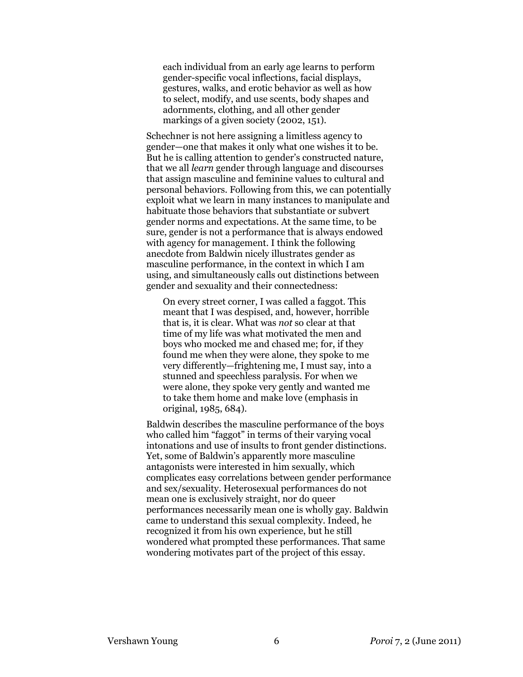each individual from an early age learns to perform gender-specific vocal inflections, facial displays, gestures, walks, and erotic behavior as well as how to select, modify, and use scents, body shapes and adornments, clothing, and all other gender markings of a given society (2002, 151).

Schechner is not here assigning a limitless agency to gender—one that makes it only what one wishes it to be. But he is calling attention to gender's constructed nature, that we all learn gender through language and discourses that assign masculine and feminine values to cultural and personal behaviors. Following from this, we can potentially exploit what we learn in many instances to manipulate and habituate those behaviors that substantiate or subvert gender norms and expectations. At the same time, to be sure, gender is not a performance that is always endowed with agency for management. I think the following anecdote from Baldwin nicely illustrates gender as masculine performance, in the context in which I am using, and simultaneously calls out distinctions between gender and sexuality and their connectedness:

On every street corner, I was called a faggot. This meant that I was despised, and, however, horrible that is, it is clear. What was not so clear at that time of my life was what motivated the men and boys who mocked me and chased me; for, if they found me when they were alone, they spoke to me very differently—frightening me, I must say, into a stunned and speechless paralysis. For when we were alone, they spoke very gently and wanted me to take them home and make love (emphasis in original, 1985, 684).

Baldwin describes the masculine performance of the boys who called him "faggot" in terms of their varying vocal intonations and use of insults to front gender distinctions. Yet, some of Baldwin's apparently more masculine antagonists were interested in him sexually, which complicates easy correlations between gender performance and sex/sexuality. Heterosexual performances do not mean one is exclusively straight, nor do queer performances necessarily mean one is wholly gay. Baldwin came to understand this sexual complexity. Indeed, he recognized it from his own experience, but he still wondered what prompted these performances. That same wondering motivates part of the project of this essay.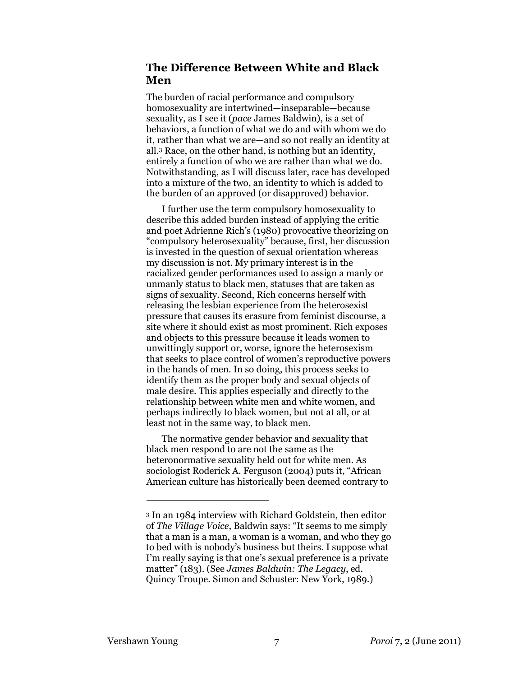# The Difference Between White and Black Men

The burden of racial performance and compulsory homosexuality are intertwined—inseparable—because sexuality, as I see it (pace James Baldwin), is a set of behaviors, a function of what we do and with whom we do it, rather than what we are—and so not really an identity at all.<sup>3</sup> Race, on the other hand, is nothing but an identity, entirely a function of who we are rather than what we do. Notwithstanding, as I will discuss later, race has developed into a mixture of the two, an identity to which is added to the burden of an approved (or disapproved) behavior.

I further use the term compulsory homosexuality to describe this added burden instead of applying the critic and poet Adrienne Rich's (1980) provocative theorizing on "compulsory heterosexuality" because, first, her discussion is invested in the question of sexual orientation whereas my discussion is not. My primary interest is in the racialized gender performances used to assign a manly or unmanly status to black men, statuses that are taken as signs of sexuality. Second, Rich concerns herself with releasing the lesbian experience from the heterosexist pressure that causes its erasure from feminist discourse, a site where it should exist as most prominent. Rich exposes and objects to this pressure because it leads women to unwittingly support or, worse, ignore the heterosexism that seeks to place control of women's reproductive powers in the hands of men. In so doing, this process seeks to identify them as the proper body and sexual objects of male desire. This applies especially and directly to the relationship between white men and white women, and perhaps indirectly to black women, but not at all, or at least not in the same way, to black men.

The normative gender behavior and sexuality that black men respond to are not the same as the heteronormative sexuality held out for white men. As sociologist Roderick A. Ferguson (2004) puts it, "African American culture has historically been deemed contrary to

-

<sup>3</sup> In an 1984 interview with Richard Goldstein, then editor of The Village Voice, Baldwin says: "It seems to me simply that a man is a man, a woman is a woman, and who they go to bed with is nobody's business but theirs. I suppose what I'm really saying is that one's sexual preference is a private matter" (183). (See James Baldwin: The Legacy, ed. Quincy Troupe. Simon and Schuster: New York, 1989.)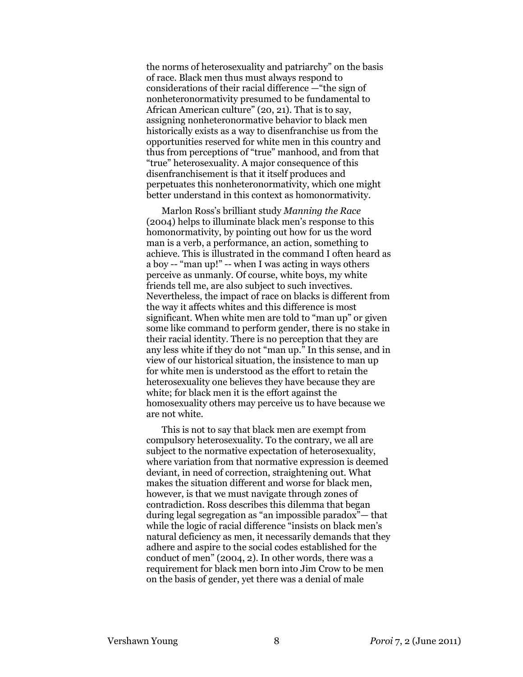the norms of heterosexuality and patriarchy" on the basis of race. Black men thus must always respond to considerations of their racial difference —"the sign of nonheteronormativity presumed to be fundamental to African American culture" (20, 21). That is to say, assigning nonheteronormative behavior to black men historically exists as a way to disenfranchise us from the opportunities reserved for white men in this country and thus from perceptions of "true" manhood, and from that "true" heterosexuality. A major consequence of this disenfranchisement is that it itself produces and perpetuates this nonheteronormativity, which one might better understand in this context as homonormativity.

Marlon Ross's brilliant study Manning the Race (2004) helps to illuminate black men's response to this homonormativity, by pointing out how for us the word man is a verb, a performance, an action, something to achieve. This is illustrated in the command I often heard as a boy -- "man up!" -- when I was acting in ways others perceive as unmanly. Of course, white boys, my white friends tell me, are also subject to such invectives. Nevertheless, the impact of race on blacks is different from the way it affects whites and this difference is most significant. When white men are told to "man up" or given some like command to perform gender, there is no stake in their racial identity. There is no perception that they are any less white if they do not "man up." In this sense, and in view of our historical situation, the insistence to man up for white men is understood as the effort to retain the heterosexuality one believes they have because they are white; for black men it is the effort against the homosexuality others may perceive us to have because we are not white.

This is not to say that black men are exempt from compulsory heterosexuality. To the contrary, we all are subject to the normative expectation of heterosexuality, where variation from that normative expression is deemed deviant, in need of correction, straightening out. What makes the situation different and worse for black men, however, is that we must navigate through zones of contradiction. Ross describes this dilemma that began during legal segregation as "an impossible paradox"— that while the logic of racial difference "insists on black men's natural deficiency as men, it necessarily demands that they adhere and aspire to the social codes established for the conduct of men" (2004, 2). In other words, there was a requirement for black men born into Jim Crow to be men on the basis of gender, yet there was a denial of male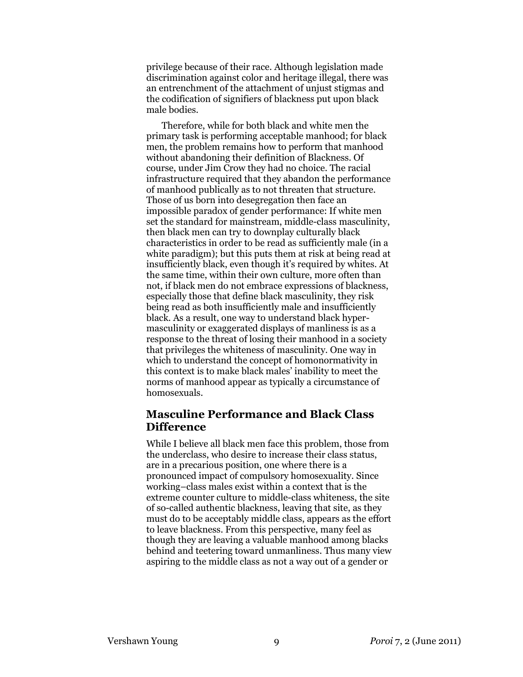privilege because of their race. Although legislation made discrimination against color and heritage illegal, there was an entrenchment of the attachment of unjust stigmas and the codification of signifiers of blackness put upon black male bodies.

Therefore, while for both black and white men the primary task is performing acceptable manhood; for black men, the problem remains how to perform that manhood without abandoning their definition of Blackness. Of course, under Jim Crow they had no choice. The racial infrastructure required that they abandon the performance of manhood publically as to not threaten that structure. Those of us born into desegregation then face an impossible paradox of gender performance: If white men set the standard for mainstream, middle-class masculinity, then black men can try to downplay culturally black characteristics in order to be read as sufficiently male (in a white paradigm); but this puts them at risk at being read at insufficiently black, even though it's required by whites. At the same time, within their own culture, more often than not, if black men do not embrace expressions of blackness, especially those that define black masculinity, they risk being read as both insufficiently male and insufficiently black. As a result, one way to understand black hypermasculinity or exaggerated displays of manliness is as a response to the threat of losing their manhood in a society that privileges the whiteness of masculinity. One way in which to understand the concept of homonormativity in this context is to make black males' inability to meet the norms of manhood appear as typically a circumstance of homosexuals.

# Masculine Performance and Black Class **Difference**

While I believe all black men face this problem, those from the underclass, who desire to increase their class status, are in a precarious position, one where there is a pronounced impact of compulsory homosexuality. Since working–class males exist within a context that is the extreme counter culture to middle-class whiteness, the site of so-called authentic blackness, leaving that site, as they must do to be acceptably middle class, appears as the effort to leave blackness. From this perspective, many feel as though they are leaving a valuable manhood among blacks behind and teetering toward unmanliness. Thus many view aspiring to the middle class as not a way out of a gender or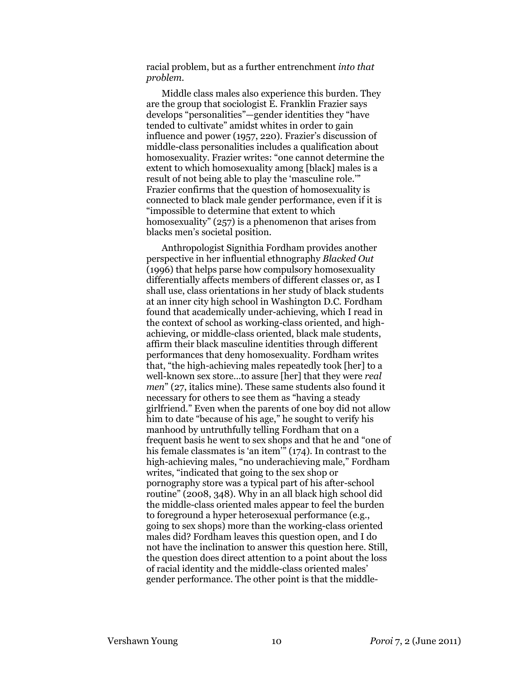racial problem, but as a further entrenchment into that problem.

Middle class males also experience this burden. They are the group that sociologist E. Franklin Frazier says develops "personalities"—gender identities they "have tended to cultivate" amidst whites in order to gain influence and power (1957, 220). Frazier's discussion of middle-class personalities includes a qualification about homosexuality. Frazier writes: "one cannot determine the extent to which homosexuality among [black] males is a result of not being able to play the 'masculine role.'" Frazier confirms that the question of homosexuality is connected to black male gender performance, even if it is "impossible to determine that extent to which homosexuality" (257) is a phenomenon that arises from blacks men's societal position.

Anthropologist Signithia Fordham provides another perspective in her influential ethnography Blacked Out (1996) that helps parse how compulsory homosexuality differentially affects members of different classes or, as I shall use, class orientations in her study of black students at an inner city high school in Washington D.C. Fordham found that academically under-achieving, which I read in the context of school as working-class oriented, and highachieving, or middle-class oriented, black male students, affirm their black masculine identities through different performances that deny homosexuality. Fordham writes that, "the high-achieving males repeatedly took [her] to a well-known sex store…to assure [her] that they were real men" (27, italics mine). These same students also found it necessary for others to see them as "having a steady girlfriend." Even when the parents of one boy did not allow him to date "because of his age," he sought to verify his manhood by untruthfully telling Fordham that on a frequent basis he went to sex shops and that he and "one of his female classmates is 'an item'"  $(174)$ . In contrast to the high-achieving males, "no underachieving male," Fordham writes, "indicated that going to the sex shop or pornography store was a typical part of his after-school routine" (2008, 348). Why in an all black high school did the middle-class oriented males appear to feel the burden to foreground a hyper heterosexual performance (e.g., going to sex shops) more than the working-class oriented males did? Fordham leaves this question open, and I do not have the inclination to answer this question here. Still, the question does direct attention to a point about the loss of racial identity and the middle-class oriented males' gender performance. The other point is that the middle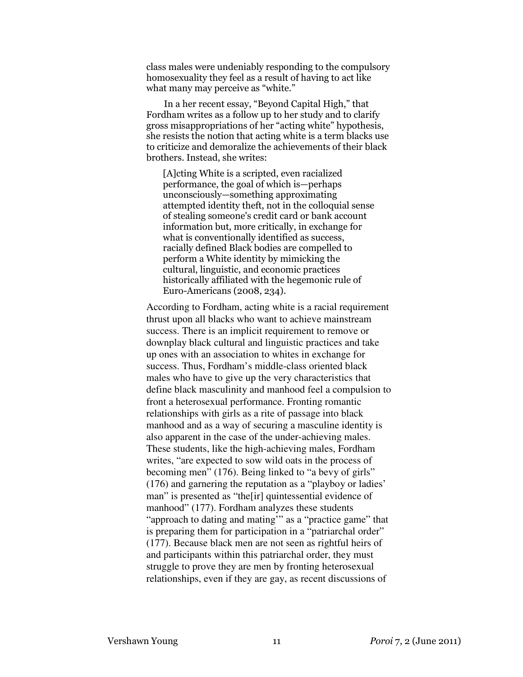class males were undeniably responding to the compulsory homosexuality they feel as a result of having to act like what many may perceive as "white."

 In a her recent essay, "Beyond Capital High," that Fordham writes as a follow up to her study and to clarify gross misappropriations of her "acting white" hypothesis, she resists the notion that acting white is a term blacks use to criticize and demoralize the achievements of their black brothers. Instead, she writes:

[A]cting White is a scripted, even racialized performance, the goal of which is—perhaps unconsciously—something approximating attempted identity theft, not in the colloquial sense of stealing someone's credit card or bank account information but, more critically, in exchange for what is conventionally identified as success, racially defined Black bodies are compelled to perform a White identity by mimicking the cultural, linguistic, and economic practices historically affiliated with the hegemonic rule of Euro-Americans (2008, 234).

According to Fordham, acting white is a racial requirement thrust upon all blacks who want to achieve mainstream success. There is an implicit requirement to remove or downplay black cultural and linguistic practices and take up ones with an association to whites in exchange for success. Thus, Fordham's middle-class oriented black males who have to give up the very characteristics that define black masculinity and manhood feel a compulsion to front a heterosexual performance. Fronting romantic relationships with girls as a rite of passage into black manhood and as a way of securing a masculine identity is also apparent in the case of the under-achieving males. These students, like the high-achieving males, Fordham writes, "are expected to sow wild oats in the process of becoming men" (176). Being linked to "a bevy of girls" (176) and garnering the reputation as a "playboy or ladies' man" is presented as "the[ir] quintessential evidence of manhood" (177). Fordham analyzes these students "approach to dating and mating'" as a "practice game" that is preparing them for participation in a "patriarchal order" (177). Because black men are not seen as rightful heirs of and participants within this patriarchal order, they must struggle to prove they are men by fronting heterosexual relationships, even if they are gay, as recent discussions of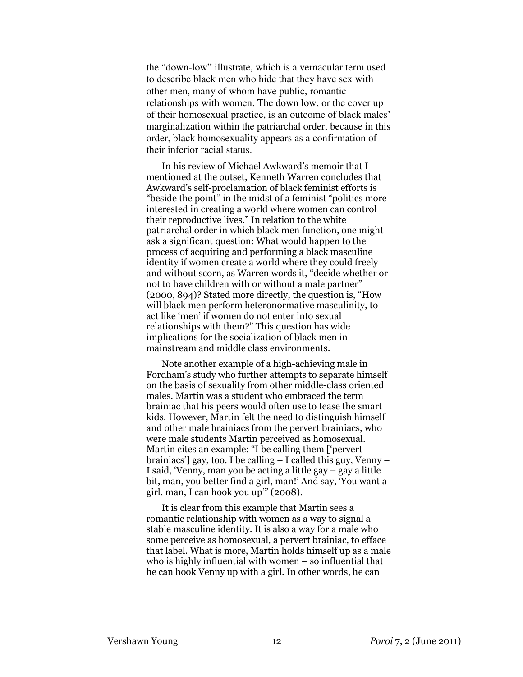the "down-low" illustrate, which is a vernacular term used to describe black men who hide that they have sex with other men, many of whom have public, romantic relationships with women. The down low, or the cover up of their homosexual practice, is an outcome of black males' marginalization within the patriarchal order, because in this order, black homosexuality appears as a confirmation of their inferior racial status.

In his review of Michael Awkward's memoir that I mentioned at the outset, Kenneth Warren concludes that Awkward's self-proclamation of black feminist efforts is "beside the point" in the midst of a feminist "politics more interested in creating a world where women can control their reproductive lives." In relation to the white patriarchal order in which black men function, one might ask a significant question: What would happen to the process of acquiring and performing a black masculine identity if women create a world where they could freely and without scorn, as Warren words it, "decide whether or not to have children with or without a male partner" (2000, 894)? Stated more directly, the question is, "How will black men perform heteronormative masculinity, to act like 'men' if women do not enter into sexual relationships with them?" This question has wide implications for the socialization of black men in mainstream and middle class environments.

Note another example of a high-achieving male in Fordham's study who further attempts to separate himself on the basis of sexuality from other middle-class oriented males. Martin was a student who embraced the term brainiac that his peers would often use to tease the smart kids. However, Martin felt the need to distinguish himself and other male brainiacs from the pervert brainiacs, who were male students Martin perceived as homosexual. Martin cites an example: "I be calling them ['pervert brainiacs'] gay, too. I be calling – I called this guy, Venny – I said, 'Venny, man you be acting a little gay – gay a little bit, man, you better find a girl, man!' And say, 'You want a girl, man, I can hook you up'" (2008).

It is clear from this example that Martin sees a romantic relationship with women as a way to signal a stable masculine identity. It is also a way for a male who some perceive as homosexual, a pervert brainiac, to efface that label. What is more, Martin holds himself up as a male who is highly influential with women – so influential that he can hook Venny up with a girl. In other words, he can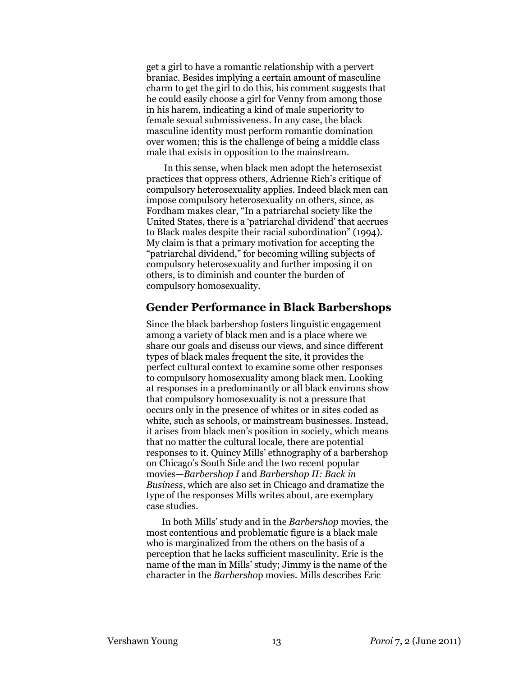get a girl to have a romantic relationship with a pervert braniac. Besides implying a certain amount of masculine charm to get the girl to do this, his comment suggests that he could easily choose a girl for Venny from among those in his harem, indicating a kind of male superiority to female sexual submissiveness. In any case, the black masculine identity must perform romantic domination over women; this is the challenge of being a middle class male that exists in opposition to the mainstream.

 In this sense, when black men adopt the heterosexist practices that oppress others, Adrienne Rich's critique of compulsory heterosexuality applies. Indeed black men can impose compulsory heterosexuality on others, since, as Fordham makes clear, "In a patriarchal society like the United States, there is a 'patriarchal dividend' that accrues to Black males despite their racial subordination" (1994). My claim is that a primary motivation for accepting the "patriarchal dividend," for becoming willing subjects of compulsory heterosexuality and further imposing it on others, is to diminish and counter the burden of compulsory homosexuality.

### Gender Performance in Black Barbershops

Since the black barbershop fosters linguistic engagement among a variety of black men and is a place where we share our goals and discuss our views, and since different types of black males frequent the site, it provides the perfect cultural context to examine some other responses to compulsory homosexuality among black men. Looking at responses in a predominantly or all black environs show that compulsory homosexuality is not a pressure that occurs only in the presence of whites or in sites coded as white, such as schools, or mainstream businesses. Instead, it arises from black men's position in society, which means that no matter the cultural locale, there are potential responses to it. Quincy Mills' ethnography of a barbershop on Chicago's South Side and the two recent popular movies—Barbershop I and Barbershop II: Back in Business, which are also set in Chicago and dramatize the type of the responses Mills writes about, are exemplary case studies.

In both Mills' study and in the Barbershop movies, the most contentious and problematic figure is a black male who is marginalized from the others on the basis of a perception that he lacks sufficient masculinity. Eric is the name of the man in Mills' study; Jimmy is the name of the character in the Barbershop movies. Mills describes Eric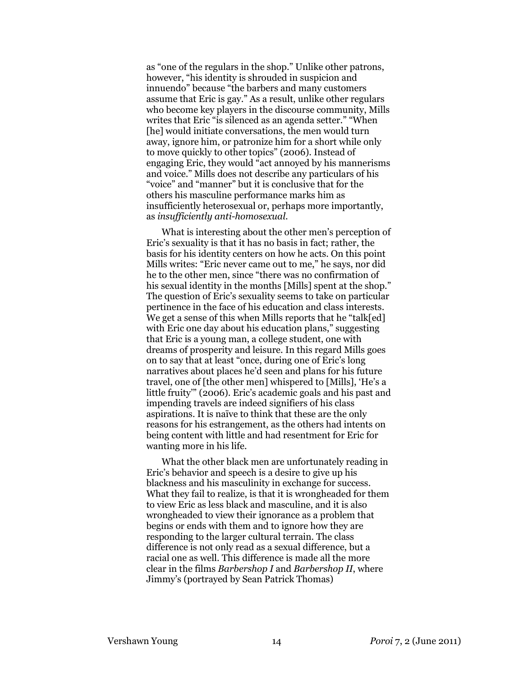as "one of the regulars in the shop." Unlike other patrons, however, "his identity is shrouded in suspicion and innuendo" because "the barbers and many customers assume that Eric is gay." As a result, unlike other regulars who become key players in the discourse community, Mills writes that Eric "is silenced as an agenda setter." "When [he] would initiate conversations, the men would turn away, ignore him, or patronize him for a short while only to move quickly to other topics" (2006). Instead of engaging Eric, they would "act annoyed by his mannerisms and voice." Mills does not describe any particulars of his "voice" and "manner" but it is conclusive that for the others his masculine performance marks him as insufficiently heterosexual or, perhaps more importantly, as insufficiently anti-homosexual.

What is interesting about the other men's perception of Eric's sexuality is that it has no basis in fact; rather, the basis for his identity centers on how he acts. On this point Mills writes: "Eric never came out to me," he says, nor did he to the other men, since "there was no confirmation of his sexual identity in the months [Mills] spent at the shop." The question of Eric's sexuality seems to take on particular pertinence in the face of his education and class interests. We get a sense of this when Mills reports that he "talk[ed] with Eric one day about his education plans," suggesting that Eric is a young man, a college student, one with dreams of prosperity and leisure. In this regard Mills goes on to say that at least "once, during one of Eric's long narratives about places he'd seen and plans for his future travel, one of [the other men] whispered to [Mills], 'He's a little fruity'" (2006). Eric's academic goals and his past and impending travels are indeed signifiers of his class aspirations. It is naïve to think that these are the only reasons for his estrangement, as the others had intents on being content with little and had resentment for Eric for wanting more in his life.

What the other black men are unfortunately reading in Eric's behavior and speech is a desire to give up his blackness and his masculinity in exchange for success. What they fail to realize, is that it is wrongheaded for them to view Eric as less black and masculine, and it is also wrongheaded to view their ignorance as a problem that begins or ends with them and to ignore how they are responding to the larger cultural terrain. The class difference is not only read as a sexual difference, but a racial one as well. This difference is made all the more clear in the films Barbershop I and Barbershop II, where Jimmy's (portrayed by Sean Patrick Thomas)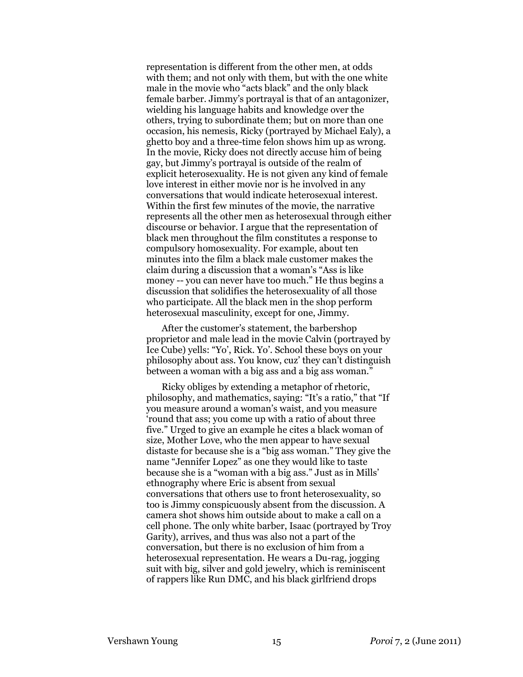representation is different from the other men, at odds with them; and not only with them, but with the one white male in the movie who "acts black" and the only black female barber. Jimmy's portrayal is that of an antagonizer, wielding his language habits and knowledge over the others, trying to subordinate them; but on more than one occasion, his nemesis, Ricky (portrayed by Michael Ealy), a ghetto boy and a three-time felon shows him up as wrong. In the movie, Ricky does not directly accuse him of being gay, but Jimmy's portrayal is outside of the realm of explicit heterosexuality. He is not given any kind of female love interest in either movie nor is he involved in any conversations that would indicate heterosexual interest. Within the first few minutes of the movie, the narrative represents all the other men as heterosexual through either discourse or behavior. I argue that the representation of black men throughout the film constitutes a response to compulsory homosexuality. For example, about ten minutes into the film a black male customer makes the claim during a discussion that a woman's "Ass is like money -- you can never have too much." He thus begins a discussion that solidifies the heterosexuality of all those who participate. All the black men in the shop perform heterosexual masculinity, except for one, Jimmy.

After the customer's statement, the barbershop proprietor and male lead in the movie Calvin (portrayed by Ice Cube) yells: "Yo', Rick. Yo'. School these boys on your philosophy about ass. You know, cuz' they can't distinguish between a woman with a big ass and a big ass woman."

Ricky obliges by extending a metaphor of rhetoric, philosophy, and mathematics, saying: "It's a ratio," that "If you measure around a woman's waist, and you measure 'round that ass; you come up with a ratio of about three five." Urged to give an example he cites a black woman of size, Mother Love, who the men appear to have sexual distaste for because she is a "big ass woman." They give the name "Jennifer Lopez" as one they would like to taste because she is a "woman with a big ass." Just as in Mills' ethnography where Eric is absent from sexual conversations that others use to front heterosexuality, so too is Jimmy conspicuously absent from the discussion. A camera shot shows him outside about to make a call on a cell phone. The only white barber, Isaac (portrayed by Troy Garity), arrives, and thus was also not a part of the conversation, but there is no exclusion of him from a heterosexual representation. He wears a Du-rag, jogging suit with big, silver and gold jewelry, which is reminiscent of rappers like Run DMC, and his black girlfriend drops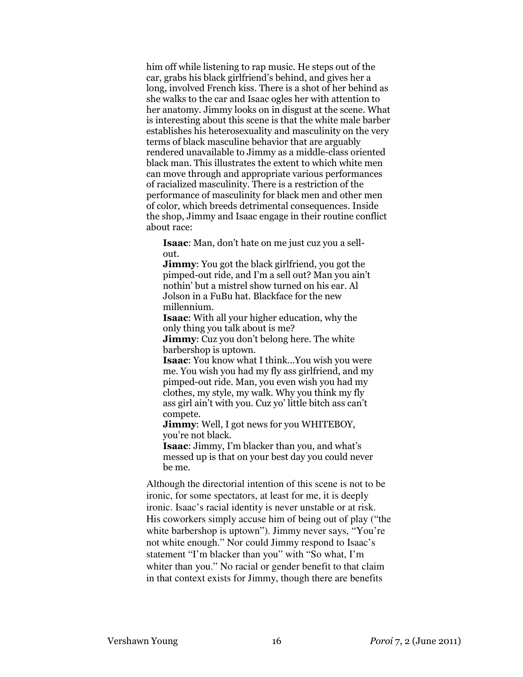him off while listening to rap music. He steps out of the car, grabs his black girlfriend's behind, and gives her a long, involved French kiss. There is a shot of her behind as she walks to the car and Isaac ogles her with attention to her anatomy. Jimmy looks on in disgust at the scene. What is interesting about this scene is that the white male barber establishes his heterosexuality and masculinity on the very terms of black masculine behavior that are arguably rendered unavailable to Jimmy as a middle-class oriented black man. This illustrates the extent to which white men can move through and appropriate various performances of racialized masculinity. There is a restriction of the performance of masculinity for black men and other men of color, which breeds detrimental consequences. Inside the shop, Jimmy and Isaac engage in their routine conflict about race:

Isaac: Man, don't hate on me just cuz you a sellout.

**Jimmy:** You got the black girlfriend, you got the pimped-out ride, and I'm a sell out? Man you ain't nothin' but a mistrel show turned on his ear. Al Jolson in a FuBu hat. Blackface for the new millennium.

Isaac: With all your higher education, why the only thing you talk about is me?

**Jimmy:** Cuz you don't belong here. The white barbershop is uptown.

Isaac: You know what I think…You wish you were me. You wish you had my fly ass girlfriend, and my pimped-out ride. Man, you even wish you had my clothes, my style, my walk. Why you think my fly ass girl ain't with you. Cuz yo' little bitch ass can't compete.

Jimmy: Well, I got news for you WHITEBOY, you're not black.

Isaac: Jimmy, I'm blacker than you, and what's messed up is that on your best day you could never be me.

Although the directorial intention of this scene is not to be ironic, for some spectators, at least for me, it is deeply ironic. Isaac's racial identity is never unstable or at risk. His coworkers simply accuse him of being out of play ("the white barbershop is uptown"). Jimmy never says, "You're not white enough." Nor could Jimmy respond to Isaac's statement "I'm blacker than you" with "So what, I'm whiter than you." No racial or gender benefit to that claim in that context exists for Jimmy, though there are benefits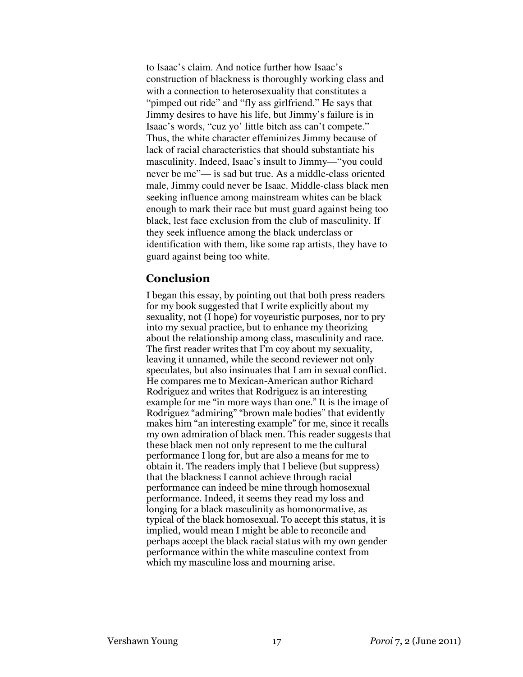to Isaac's claim. And notice further how Isaac's construction of blackness is thoroughly working class and with a connection to heterosexuality that constitutes a "pimped out ride" and "fly ass girlfriend." He says that Jimmy desires to have his life, but Jimmy's failure is in Isaac's words, "cuz yo' little bitch ass can't compete." Thus, the white character effeminizes Jimmy because of lack of racial characteristics that should substantiate his masculinity. Indeed, Isaac's insult to Jimmy—"you could never be me"— is sad but true. As a middle-class oriented male, Jimmy could never be Isaac. Middle-class black men seeking influence among mainstream whites can be black enough to mark their race but must guard against being too black, lest face exclusion from the club of masculinity. If they seek influence among the black underclass or identification with them, like some rap artists, they have to guard against being too white.

# Conclusion

I began this essay, by pointing out that both press readers for my book suggested that I write explicitly about my sexuality, not (I hope) for voyeuristic purposes, nor to pry into my sexual practice, but to enhance my theorizing about the relationship among class, masculinity and race. The first reader writes that I'm coy about my sexuality, leaving it unnamed, while the second reviewer not only speculates, but also insinuates that I am in sexual conflict. He compares me to Mexican-American author Richard Rodriguez and writes that Rodriguez is an interesting example for me "in more ways than one." It is the image of Rodriguez "admiring" "brown male bodies" that evidently makes him "an interesting example" for me, since it recalls my own admiration of black men. This reader suggests that these black men not only represent to me the cultural performance I long for, but are also a means for me to obtain it. The readers imply that I believe (but suppress) that the blackness I cannot achieve through racial performance can indeed be mine through homosexual performance. Indeed, it seems they read my loss and longing for a black masculinity as homonormative, as typical of the black homosexual. To accept this status, it is implied, would mean I might be able to reconcile and perhaps accept the black racial status with my own gender performance within the white masculine context from which my masculine loss and mourning arise.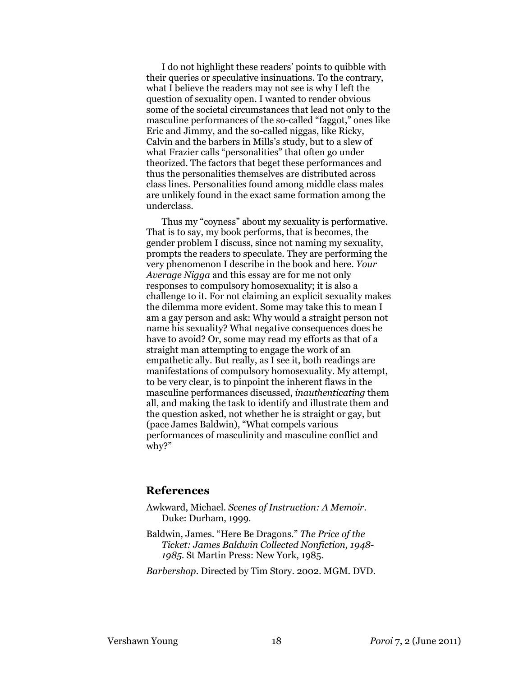I do not highlight these readers' points to quibble with their queries or speculative insinuations. To the contrary, what I believe the readers may not see is why I left the question of sexuality open. I wanted to render obvious some of the societal circumstances that lead not only to the masculine performances of the so-called "faggot," ones like Eric and Jimmy, and the so-called niggas, like Ricky, Calvin and the barbers in Mills's study, but to a slew of what Frazier calls "personalities" that often go under theorized. The factors that beget these performances and thus the personalities themselves are distributed across class lines. Personalities found among middle class males are unlikely found in the exact same formation among the underclass.

Thus my "coyness" about my sexuality is performative. That is to say, my book performs, that is becomes, the gender problem I discuss, since not naming my sexuality, prompts the readers to speculate. They are performing the very phenomenon I describe in the book and here. Your Average Nigga and this essay are for me not only responses to compulsory homosexuality; it is also a challenge to it. For not claiming an explicit sexuality makes the dilemma more evident. Some may take this to mean I am a gay person and ask: Why would a straight person not name his sexuality? What negative consequences does he have to avoid? Or, some may read my efforts as that of a straight man attempting to engage the work of an empathetic ally. But really, as I see it, both readings are manifestations of compulsory homosexuality. My attempt, to be very clear, is to pinpoint the inherent flaws in the masculine performances discussed, inauthenticating them all, and making the task to identify and illustrate them and the question asked, not whether he is straight or gay, but (pace James Baldwin), "What compels various performances of masculinity and masculine conflict and why?"

# **References**

- Awkward, Michael. Scenes of Instruction: A Memoir. Duke: Durham, 1999.
- Baldwin, James. "Here Be Dragons." The Price of the Ticket: James Baldwin Collected Nonfiction, 1948- 1985. St Martin Press: New York, 1985.
- Barbershop. Directed by Tim Story. 2002. MGM. DVD.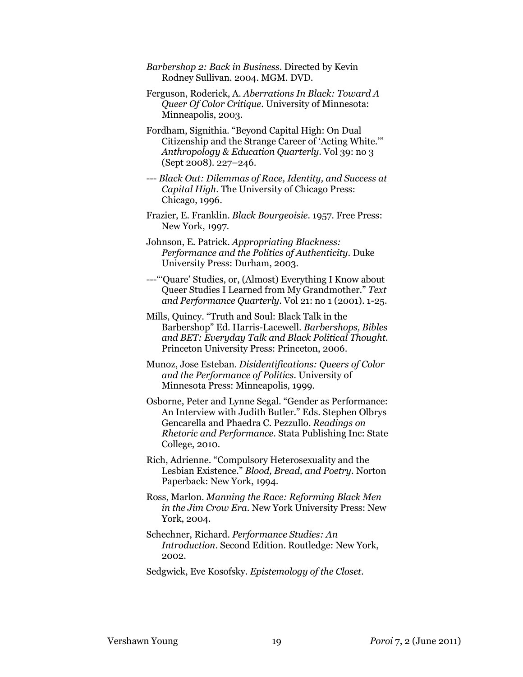- Barbershop 2: Back in Business. Directed by Kevin Rodney Sullivan. 2004. MGM. DVD.
- Ferguson, Roderick, A. Aberrations In Black: Toward A Queer Of Color Critique. University of Minnesota: Minneapolis, 2003.
- Fordham, Signithia. "Beyond Capital High: On Dual Citizenship and the Strange Career of 'Acting White.'" Anthropology & Education Quarterly. Vol 39: no 3 (Sept 2008). 227–246.
- --- Black Out: Dilemmas of Race, Identity, and Success at Capital High. The University of Chicago Press: Chicago, 1996.
- Frazier, E. Franklin. Black Bourgeoisie. 1957. Free Press: New York, 1997.
- Johnson, E. Patrick. Appropriating Blackness: Performance and the Politics of Authenticity. Duke University Press: Durham, 2003.
- ---"'Quare' Studies, or, (Almost) Everything I Know about Queer Studies I Learned from My Grandmother." Text and Performance Quarterly. Vol 21: no 1 (2001). 1-25.
- Mills, Quincy. "Truth and Soul: Black Talk in the Barbershop" Ed. Harris-Lacewell. Barbershops, Bibles and BET: Everyday Talk and Black Political Thought. Princeton University Press: Princeton, 2006.
- Munoz, Jose Esteban. Disidentifications: Queers of Color and the Performance of Politics. University of Minnesota Press: Minneapolis, 1999.
- Osborne, Peter and Lynne Segal. "Gender as Performance: An Interview with Judith Butler." Eds. Stephen Olbrys Gencarella and Phaedra C. Pezzullo. Readings on Rhetoric and Performance. Stata Publishing Inc: State College, 2010.
- Rich, Adrienne. "Compulsory Heterosexuality and the Lesbian Existence." Blood, Bread, and Poetry. Norton Paperback: New York, 1994.
- Ross, Marlon. Manning the Race: Reforming Black Men in the Jim Crow Era. New York University Press: New York, 2004.
- Schechner, Richard. Performance Studies: An Introduction. Second Edition. Routledge: New York, 2002.
- Sedgwick, Eve Kosofsky. Epistemology of the Closet.